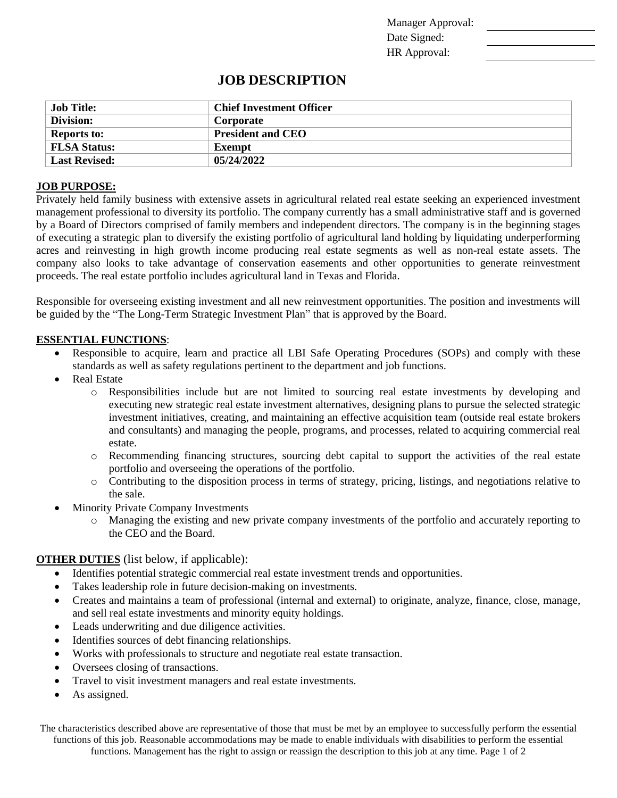Manager Approval: Date Signed: HR Approval:

# **JOB DESCRIPTION**

| Job Title:           | <b>Chief Investment Officer</b> |
|----------------------|---------------------------------|
| Division:            | Corporate                       |
| <b>Reports to:</b>   | <b>President and CEO</b>        |
| <b>FLSA Status:</b>  | Exempt                          |
| <b>Last Revised:</b> | 05/24/2022                      |

### **JOB PURPOSE:**

Privately held family business with extensive assets in agricultural related real estate seeking an experienced investment management professional to diversity its portfolio. The company currently has a small administrative staff and is governed by a Board of Directors comprised of family members and independent directors. The company is in the beginning stages of executing a strategic plan to diversify the existing portfolio of agricultural land holding by liquidating underperforming acres and reinvesting in high growth income producing real estate segments as well as non-real estate assets. The company also looks to take advantage of conservation easements and other opportunities to generate reinvestment proceeds. The real estate portfolio includes agricultural land in Texas and Florida.

Responsible for overseeing existing investment and all new reinvestment opportunities. The position and investments will be guided by the "The Long-Term Strategic Investment Plan" that is approved by the Board.

### **ESSENTIAL FUNCTIONS**:

- Responsible to acquire, learn and practice all LBI Safe Operating Procedures (SOPs) and comply with these standards as well as safety regulations pertinent to the department and job functions.
- Real Estate
	- o Responsibilities include but are not limited to sourcing real estate investments by developing and executing new strategic real estate investment alternatives, designing plans to pursue the selected strategic investment initiatives, creating, and maintaining an effective acquisition team (outside real estate brokers and consultants) and managing the people, programs, and processes, related to acquiring commercial real estate.
	- o Recommending financing structures, sourcing debt capital to support the activities of the real estate portfolio and overseeing the operations of the portfolio.
	- o Contributing to the disposition process in terms of strategy, pricing, listings, and negotiations relative to the sale.
- **Minority Private Company Investments** 
	- o Managing the existing and new private company investments of the portfolio and accurately reporting to the CEO and the Board.

### **OTHER DUTIES** (list below, if applicable):

- Identifies potential strategic commercial real estate investment trends and opportunities.
- Takes leadership role in future decision-making on investments.
- Creates and maintains a team of professional (internal and external) to originate, analyze, finance, close, manage, and sell real estate investments and minority equity holdings.
- Leads underwriting and due diligence activities.
- Identifies sources of debt financing relationships.
- Works with professionals to structure and negotiate real estate transaction.
- Oversees closing of transactions.
- Travel to visit investment managers and real estate investments.
- As assigned.

The characteristics described above are representative of those that must be met by an employee to successfully perform the essential functions of this job. Reasonable accommodations may be made to enable individuals with disabilities to perform the essential functions. Management has the right to assign or reassign the description to this job at any time. Page 1 of 2